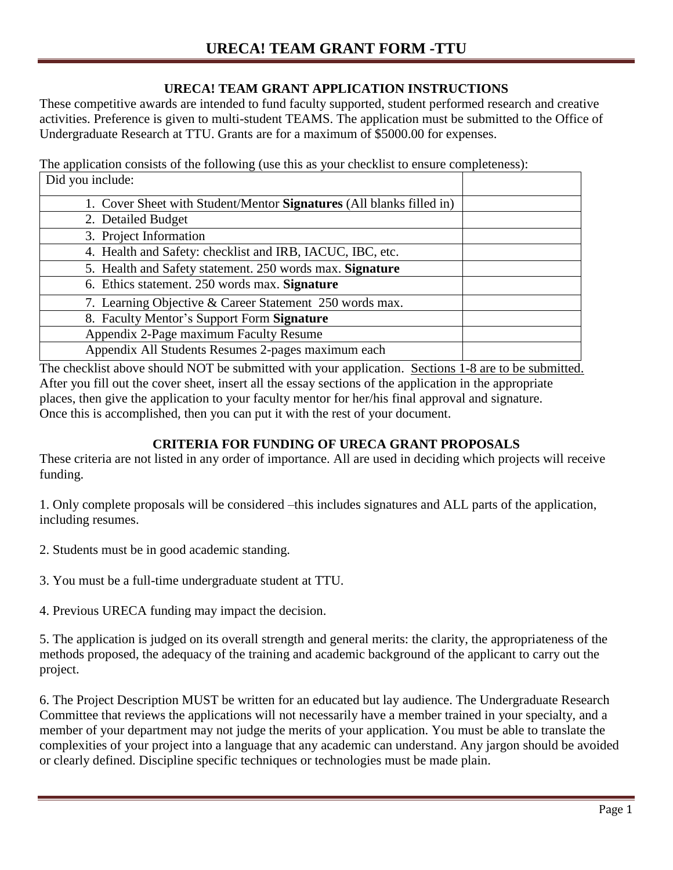## **URECA! TEAM GRANT APPLICATION INSTRUCTIONS**

These competitive awards are intended to fund faculty supported, student performed research and creative activities. Preference is given to multi-student TEAMS. The application must be submitted to the Office of Undergraduate Research at TTU. Grants are for a maximum of \$5000.00 for expenses.

The application consists of the following (use this as your checklist to ensure completeness): Did you include:

| $2.14$ , $3.4$ moral.                                                |  |
|----------------------------------------------------------------------|--|
| 1. Cover Sheet with Student/Mentor Signatures (All blanks filled in) |  |
| 2. Detailed Budget                                                   |  |
| 3. Project Information                                               |  |
| 4. Health and Safety: checklist and IRB, IACUC, IBC, etc.            |  |
| 5. Health and Safety statement. 250 words max. Signature             |  |
| 6. Ethics statement. 250 words max. Signature                        |  |
| 7. Learning Objective & Career Statement 250 words max.              |  |
| 8. Faculty Mentor's Support Form Signature                           |  |
| Appendix 2-Page maximum Faculty Resume                               |  |
| Appendix All Students Resumes 2-pages maximum each                   |  |

The checklist above should NOT be submitted with your application. Sections 1-8 are to be submitted. After you fill out the cover sheet, insert all the essay sections of the application in the appropriate places, then give the application to your faculty mentor for her/his final approval and signature. Once this is accomplished, then you can put it with the rest of your document.

# **CRITERIA FOR FUNDING OF URECA GRANT PROPOSALS**

These criteria are not listed in any order of importance. All are used in deciding which projects will receive funding.

1. Only complete proposals will be considered –this includes signatures and ALL parts of the application, including resumes.

2. Students must be in good academic standing.

3. You must be a full-time undergraduate student at TTU.

4. Previous URECA funding may impact the decision.

5. The application is judged on its overall strength and general merits: the clarity, the appropriateness of the methods proposed, the adequacy of the training and academic background of the applicant to carry out the project.

6. The Project Description MUST be written for an educated but lay audience. The Undergraduate Research Committee that reviews the applications will not necessarily have a member trained in your specialty, and a member of your department may not judge the merits of your application. You must be able to translate the complexities of your project into a language that any academic can understand. Any jargon should be avoided or clearly defined. Discipline specific techniques or technologies must be made plain.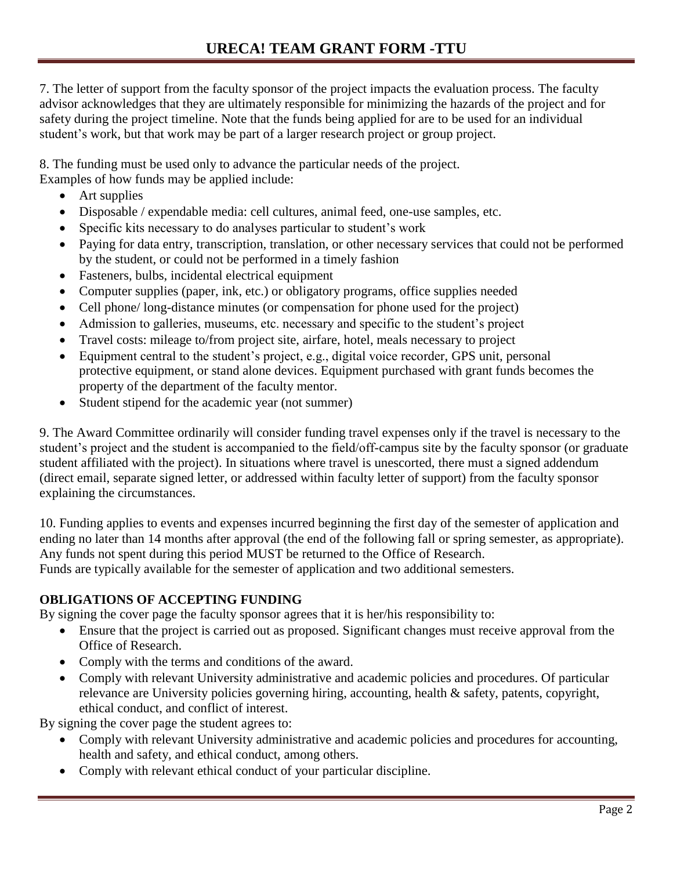7. The letter of support from the faculty sponsor of the project impacts the evaluation process. The faculty advisor acknowledges that they are ultimately responsible for minimizing the hazards of the project and for safety during the project timeline. Note that the funds being applied for are to be used for an individual student's work, but that work may be part of a larger research project or group project.

8. The funding must be used only to advance the particular needs of the project.

Examples of how funds may be applied include:

- Art supplies
- Disposable / expendable media: cell cultures, animal feed, one-use samples, etc.
- Specific kits necessary to do analyses particular to student's work
- Paying for data entry, transcription, translation, or other necessary services that could not be performed by the student, or could not be performed in a timely fashion
- Fasteners, bulbs, incidental electrical equipment
- Computer supplies (paper, ink, etc.) or obligatory programs, office supplies needed
- Cell phone/ long-distance minutes (or compensation for phone used for the project)
- Admission to galleries, museums, etc. necessary and specific to the student's project
- Travel costs: mileage to/from project site, airfare, hotel, meals necessary to project
- Equipment central to the student's project, e.g., digital voice recorder, GPS unit, personal protective equipment, or stand alone devices. Equipment purchased with grant funds becomes the property of the department of the faculty mentor.
- Student stipend for the academic year (not summer)

9. The Award Committee ordinarily will consider funding travel expenses only if the travel is necessary to the student's project and the student is accompanied to the field/off-campus site by the faculty sponsor (or graduate student affiliated with the project). In situations where travel is unescorted, there must a signed addendum (direct email, separate signed letter, or addressed within faculty letter of support) from the faculty sponsor explaining the circumstances.

10. Funding applies to events and expenses incurred beginning the first day of the semester of application and ending no later than 14 months after approval (the end of the following fall or spring semester, as appropriate). Any funds not spent during this period MUST be returned to the Office of Research. Funds are typically available for the semester of application and two additional semesters.

### **OBLIGATIONS OF ACCEPTING FUNDING**

By signing the cover page the faculty sponsor agrees that it is her/his responsibility to:

- Ensure that the project is carried out as proposed. Significant changes must receive approval from the Office of Research.
- Comply with the terms and conditions of the award.
- Comply with relevant University administrative and academic policies and procedures. Of particular relevance are University policies governing hiring, accounting, health & safety, patents, copyright, ethical conduct, and conflict of interest.

By signing the cover page the student agrees to:

- Comply with relevant University administrative and academic policies and procedures for accounting, health and safety, and ethical conduct, among others.
- Comply with relevant ethical conduct of your particular discipline.